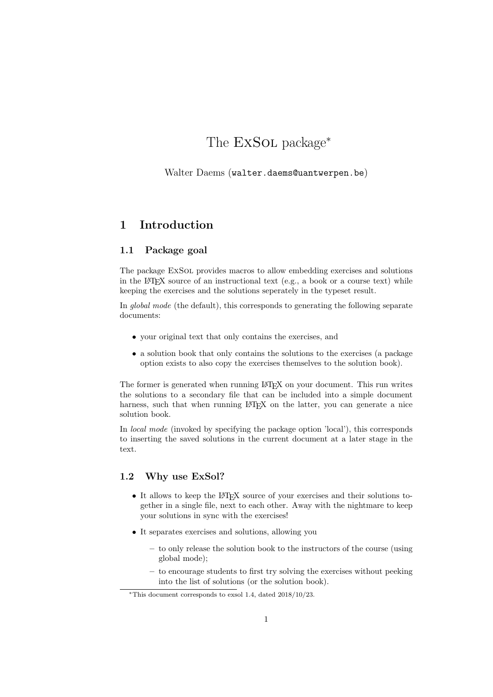# The ExSOL package<sup>\*</sup>

Walter Daems (walter.daems@uantwerpen.be)

# 1 Introduction

## 1.1 Package goal

The package ExSol provides macros to allow embedding exercises and solutions in the LATEX source of an instructional text (e.g., a book or a course text) while keeping the exercises and the solutions seperately in the typeset result.

In global mode (the default), this corresponds to generating the following separate documents:

- your original text that only contains the exercises, and
- a solution book that only contains the solutions to the exercises (a package option exists to also copy the exercises themselves to the solution book).

The former is generated when running LAT<sub>EX</sub> on your document. This run writes the solutions to a secondary file that can be included into a simple document harness, such that when running LAT<sub>EX</sub> on the latter, you can generate a nice solution book.

In local mode (invoked by specifying the package option 'local'), this corresponds to inserting the saved solutions in the current document at a later stage in the text.

# 1.2 Why use ExSol?

- It allows to keep the LAT<sub>EX</sub> source of your exercises and their solutions together in a single file, next to each other. Away with the nightmare to keep your solutions in sync with the exercises!
- It separates exercises and solutions, allowing you
	- to only release the solution book to the instructors of the course (using global mode);
	- to encourage students to first try solving the exercises without peeking into the list of solutions (or the solution book).

<sup>∗</sup>This document corresponds to exsol 1.4, dated 2018/10/23.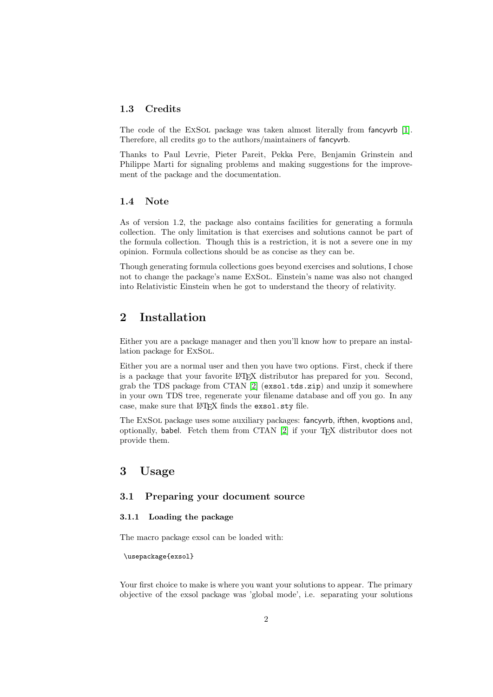### 1.3 Credits

The code of the EXSOL package was taken almost literally from fancyvrb [\[1\]](#page-21-0). Therefore, all credits go to the authors/maintainers of fancyvrb.

Thanks to Paul Levrie, Pieter Pareit, Pekka Pere, Benjamin Grinstein and Philippe Marti for signaling problems and making suggestions for the improvement of the package and the documentation.

### 1.4 Note

As of version 1.2, the package also contains facilities for generating a formula collection. The only limitation is that exercises and solutions cannot be part of the formula collection. Though this is a restriction, it is not a severe one in my opinion. Formula collections should be as concise as they can be.

Though generating formula collections goes beyond exercises and solutions, I chose not to change the package's name ExSol. Einstein's name was also not changed into Relativistic Einstein when he got to understand the theory of relativity.

# 2 Installation

Either you are a package manager and then you'll know how to prepare an installation package for ExSol.

Either you are a normal user and then you have two options. First, check if there is a package that your favorite LATEX distributor has prepared for you. Second, grab the TDS package from CTAN [\[2\]](#page-21-1) (exsol.tds.zip) and unzip it somewhere in your own TDS tree, regenerate your filename database and off you go. In any case, make sure that LAT<sub>F</sub>X finds the exsol.sty file.

The ExSOL package uses some auxiliary packages: fancyvrb, ifthen, kvoptions and, optionally, babel. Fetch them from CTAN [\[2\]](#page-21-1) if your TFX distributor does not provide them.

# 3 Usage

## 3.1 Preparing your document source

### 3.1.1 Loading the package

The macro package exsol can be loaded with:

\usepackage{exsol}

Your first choice to make is where you want your solutions to appear. The primary objective of the exsol package was 'global mode', i.e. separating your solutions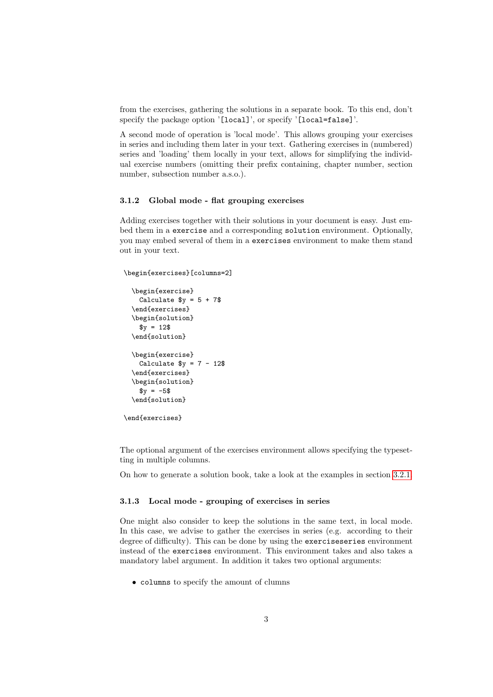from the exercises, gathering the solutions in a separate book. To this end, don't specify the package option '[local]', or specify '[local=false]'.

A second mode of operation is 'local mode'. This allows grouping your exercises in series and including them later in your text. Gathering exercises in (numbered) series and 'loading' them locally in your text, allows for simplifying the individual exercise numbers (omitting their prefix containing, chapter number, section number, subsection number a.s.o.).

#### 3.1.2 Global mode - flat grouping exercises

Adding exercises together with their solutions in your document is easy. Just embed them in a exercise and a corresponding solution environment. Optionally, you may embed several of them in a exercises environment to make them stand out in your text.

# \begin{exercises}[columns=2]

```
\begin{exercise}
   Calculate y = 5 + 7\end{exercises}
  \begin{solution}
   $y = 12$\end{solution}
  \begin{exercise}
   Calculate y = 7 - 12\end{exercises}
  \begin{solution}
    y = -5$
  \end{solution}
\end{exercises}
```
The optional argument of the exercises environment allows specifying the typesetting in multiple columns.

On how to generate a solution book, take a look at the examples in section [3.2.1.](#page-3-0)

#### 3.1.3 Local mode - grouping of exercises in series

One might also consider to keep the solutions in the same text, in local mode. In this case, we advise to gather the exercises in series (e.g. according to their degree of difficulty). This can be done by using the exerciseseries environment instead of the exercises environment. This environment takes and also takes a mandatory label argument. In addition it takes two optional arguments:

• columns to specify the amount of clumns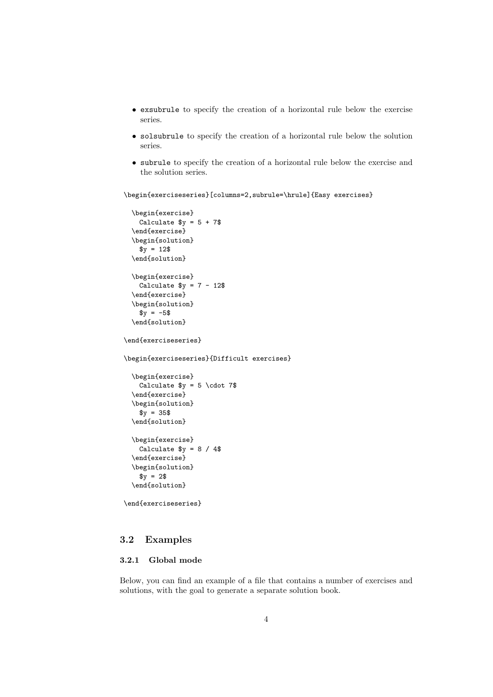- exsubrule to specify the creation of a horizontal rule below the exercise series.
- solsubrule to specify the creation of a horizontal rule below the solution series.
- subrule to specify the creation of a horizontal rule below the exercise and the solution series.

\begin{exerciseseries}[columns=2,subrule=\hrule]{Easy exercises}

```
\begin{exercise}
   Calculate y = 5 + 7\end{exercise}
  \begin{solution}
   $y = 12$\end{solution}
  \begin{exercise}
   Calculate y = 7 - 12\end{exercise}
  \begin{solution}
   y = -5$
  \end{solution}
\end{exerciseseries}
\begin{exerciseseries}{Difficult exercises}
  \begin{exercise}
   Calculate y = 5 \cdot 7\end{exercise}
  \begin{solution}
    y = 35$
  \end{solution}
  \begin{exercise}
   Calculate y = 8 / 4\end{exercise}
  \begin{solution}
   $y = 2$
```

```
\end{solution}
```
\end{exerciseseries}

# 3.2 Examples

### <span id="page-3-0"></span>3.2.1 Global mode

Below, you can find an example of a file that contains a number of exercises and solutions, with the goal to generate a separate solution book.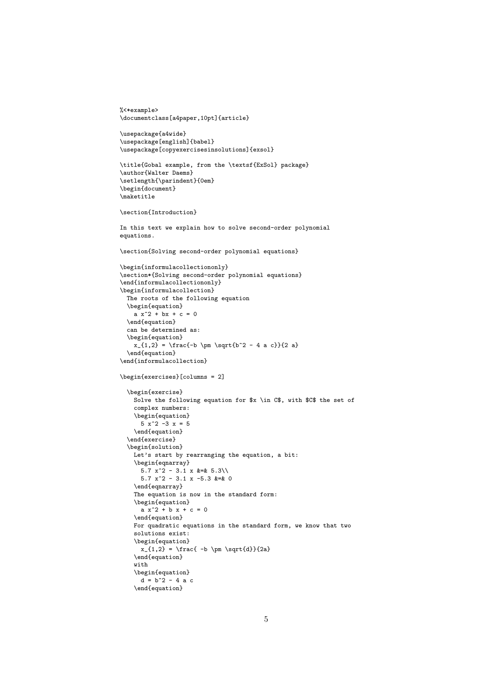```
%<*example>
\documentclass[a4paper,10pt]{article}
\usepackage{a4wide}
\usepackage[english]{babel}
\usepackage[copyexercisesinsolutions]{exsol}
\title{Gobal example, from the \textsf{ExSol} package}
\author{Walter Daems}
\setlength{\parindent}{0em}
\begin{document}
\maketitle
\section{Introduction}
In this text we explain how to solve second-order polynomial
equations.
\section{Solving second-order polynomial equations}
\begin{informulacollectiononly}
\section*{Solving second-order polynomial equations}
\end{informulacollectiononly}
\begin{informulacollection}
 The roots of the following equation
 \begin{equation}
   a x^2 + bx + c = 0\end{equation}
 can be determined as:
  \begin{equation}
   x_{1,2} = \frac{-b \pm \sqrt{b^2 - 4 a c}}{2 a}\end{equation}
\end{informulacollection}
\begin{exercises}[columns = 2]
  \begin{exercise}
   Solve the following equation for $x \in C$, with $C$ the set of
   complex numbers:
   \begin{equation}
     5 \times 2 -3 \times = 5\end{equation}
  \end{exercise}
  \begin{solution}
   Let's start by rearranging the equation, a bit:
   \begin{eqnarray}
      5.7 x^2 - 3.1 x &=& 5.3\\
      5.7 x^2 - 3.1 x -5.3 &=& 0
   \end{eqnarray}
   The equation is now in the standard form:
   \begin{equation}
     a x^2 + b x + c = 0\end{equation}
   For quadratic equations in the standard form, we know that two
   solutions exist:
   \begin{equation}
     x_{1,2} = \frac{-b \pm \sqrt{d}}{2a}\end{equation}
   with
   \begin{equation}
     d = b^2 - 4 a c\end{equation}
```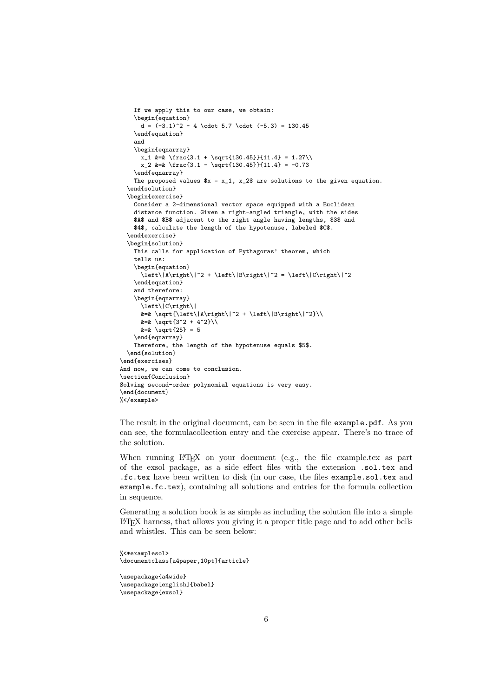```
If we apply this to our case, we obtain:
    \begin{equation}
     d = (-3.1)^2 - 4 \cdot 5.7 \cdot (-5.3) = 130.45\end{equation}
   and
   \begin{eqnarray}
     x_1 &=& \frac{3.1 + \sqrt{130.45}}{11.4} = 1.27\\
     x_2 &=& \frac{3.1 - \sqrt{130.45}}{11.4} = -0.73
    \end{eqnarray}
   The proposed values x = x_1, x_2 are solutions to the given equation.
  \end{solution}
  \begin{exercise}
   Consider a 2-dimensional vector space equipped with a Euclidean
   distance function. Given a right-angled triangle, with the sides
   $A$ and $B$ adjacent to the right angle having lengths, $3$ and
   $4$, calculate the length of the hypotenuse, labeled $C$.
  \end{exercise}
  \begin{solution}
   This calls for application of Pythagoras' theorem, which
   tells us:
    \begin{equation}
     \left\|A\right\|^2 + \left\|B\right\|^2 = \left\|C\right\|^2
   \end{equation}
   and therefore:
   \begin{eqnarray}
     \left\|C\right\|
     k=k \sqrt{1+1}k=k \sqrt{\sqrt{3^2 + 4^2}}\k=k \sqrt{25} = 5\end{eqnarray}
   Therefore, the length of the hypotenuse equals $5$.
  \end{solution}
\end{exercises}
And now, we can come to conclusion.
\section{Conclusion}
Solving second-order polynomial equations is very easy.
\end{document}
%</example>
```
The result in the original document, can be seen in the file example.pdf. As you can see, the formulacollection entry and the exercise appear. There's no trace of the solution.

When running  $\mathbb{B}T_F X$  on your document (e.g., the file example.tex as part of the exsol package, as a side effect files with the extension .sol.tex and .fc.tex have been written to disk (in our case, the files example.sol.tex and example.fc.tex), containing all solutions and entries for the formula collection in sequence.

Generating a solution book is as simple as including the solution file into a simple LATEX harness, that allows you giving it a proper title page and to add other bells and whistles. This can be seen below:

```
%<*examplesol>
\documentclass[a4paper,10pt]{article}
```

```
\usepackage{a4wide}
\usepackage[english]{babel}
\usepackage{exsol}
```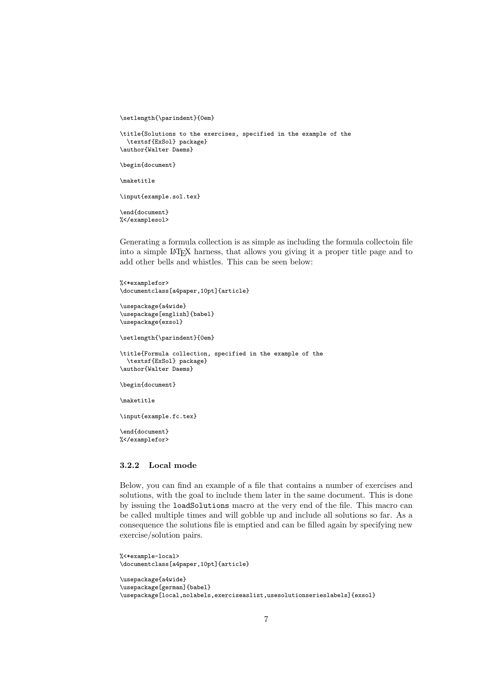```
\setlength{\parindent}{0em}
```

```
\title{Solutions to the exercises, specified in the example of the
 \textsf{ExSol} package}
\author{Walter Daems}
```
\begin{document}

```
\maketitle
```
\input{example.sol.tex}

\end{document} %</examplesol>

Generating a formula collection is as simple as including the formula collectoin file into a simple LATEX harness, that allows you giving it a proper title page and to add other bells and whistles. This can be seen below:

```
%<*examplefor>
\documentclass[a4paper,10pt]{article}
```

```
\usepackage{a4wide}
\usepackage[english]{babel}
\usepackage{exsol}
```

```
\setlength{\parindent}{0em}
```

```
\title{Formula collection, specified in the example of the
 \textsf{ExSol} package}
\author{Walter Daems}
```

```
\begin{document}
```
\maketitle

\input{example.fc.tex}

\end{document} %</examplefor>

### 3.2.2 Local mode

Below, you can find an example of a file that contains a number of exercises and solutions, with the goal to include them later in the same document. This is done by issuing the loadSolutions macro at the very end of the file. This macro can be called multiple times and will gobble up and include all solutions so far. As a consequence the solutions file is emptied and can be filled again by specifying new exercise/solution pairs.

```
%<*example-local>
\documentclass[a4paper,10pt]{article}
\usepackage{a4wide}
\usepackage[german]{babel}
\usepackage[local,nolabels,exerciseaslist,usesolutionserieslabels]{exsol}
```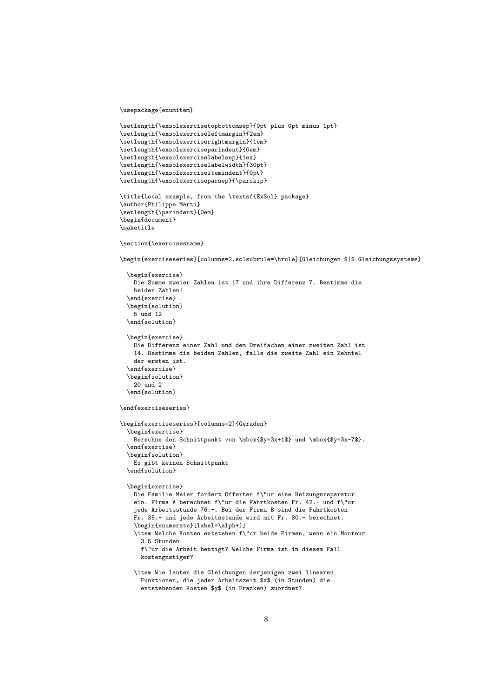\usepackage{enumitem}

```
\setlength{\exsolexercisetopbottomsep}{0pt plus 0pt minus 1pt}
\setlength{\exsolexerciseleftmargin}{2em}
\setlength{\exsolexerciserightmargin}{1em}
\setlength{\exsolexerciseparindent}{0em}
\setlength{\exsolexerciselabelsep}{1ex}
\setlength{\exsolexerciselabelwidth}{30pt}
\setlength{\exsolexerciseitemindent}{0pt}
\setlength{\exsolexerciseparsep}{\parskip}
\title{Local example, from the \textsf{ExSol} package}
\author{Philippe Marti}
\setlength{\parindent}{0em}
\begin{document}
\maketitle
\section{\exercisesname}
\begin{exerciseseries}[columns=2,solsubrule=\hrule]{Gleichungen $|$ Gleichungssysteme}
  \begin{exercise}
   Die Summe zweier Zahlen ist 17 und ihre Differenz 7. Bestimme die
   beiden Zahlen!
  \end{exercise}
  \begin{solution}
   5 und 12
  \end{solution}
  \begin{exercise}
   Die Differenz einer Zahl und dem Dreifachen einer zweiten Zahl ist
   14. Bestimme die beiden Zahlen, falls die zweite Zahl ein Zehntel
   der ersten ist.
  \end{exercise}
  \begin{solution}
   20 und 2
  \end{solution}
\end{exerciseseries}
\begin{exerciseseries}[columns=2]{Geraden}
  \begin{exercise}
   Berechne den Schnittpunkt von \mbox{$y=3x+1$} und \mbox{$y=3x-7$}.
  \end{exercise}
  \begin{solution}
   Es gibt keinen Schnittpunkt
  \end{solution}
  \begin{exercise}
   Die Familie Meier fordert Offerten f\"ur eine Heizungsreparatur
   ein. Firma A berechnet f\"ur die Fahrtkosten Fr. 42.- und f\"ur
   jede Arbeitsstunde 76.-. Bei der Firma B sind die Fahrtkosten
   Fr. 35.- und jede Arbeitsstunde wird mit Fr. 80.- berechnet.
    \begin{enumerate}[label=\alph*)]
    \item Welche Kosten entstehen f\"ur beide Firmen, wenn ein Monteur
     3.5 Stunden
     f\"ur die Arbeit bentigt? Welche Firma ist in diesem Fall
     kostengnstiger?
   \item Wie lauten die Gleichungen derjenigen zwei linearen
     Funktionen, die jeder Arbeitszeit $x$ (in Stunden) die
     entstehenden Kosten $y$ (in Franken) zuordnet?
```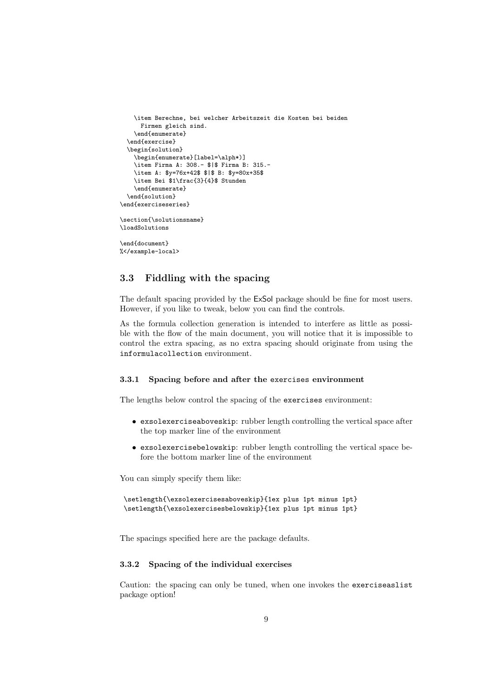```
\item Berechne, bei welcher Arbeitszeit die Kosten bei beiden
      Firmen gleich sind.
    \end{enumerate}
  \end{exercise}
  \begin{solution}
    \begin{enumerate}[label=\alph*)]
    \item Firma A: 308.- $|$ Firma B: 315.-
    \item A: $y=76x+42$ $|$ B: $y=80x+35$
    \item Bei $1\frac{3}{4}$ Stunden
    \end{enumerate}
  \end{solution}
\end{exerciseseries}
\section{\solutionsname}
\loadSolutions
\end{document}
%</example-local>
```
# 3.3 Fiddling with the spacing

The default spacing provided by the ExSol package should be fine for most users. However, if you like to tweak, below you can find the controls.

As the formula collection generation is intended to interfere as little as possible with the flow of the main document, you will notice that it is impossible to control the extra spacing, as no extra spacing should originate from using the informulacollection environment.

#### 3.3.1 Spacing before and after the exercises environment

The lengths below control the spacing of the exercises environment:

- exsolexerciseaboveskip: rubber length controlling the vertical space after the top marker line of the environment
- exsolexercisebelowskip: rubber length controlling the vertical space before the bottom marker line of the environment

You can simply specify them like:

```
\setlength{\exsolexercisesaboveskip}{1ex plus 1pt minus 1pt}
\setlength{\exsolexercisesbelowskip}{1ex plus 1pt minus 1pt}
```
The spacings specified here are the package defaults.

#### 3.3.2 Spacing of the individual exercises

Caution: the spacing can only be tuned, when one invokes the exerciseaslist package option!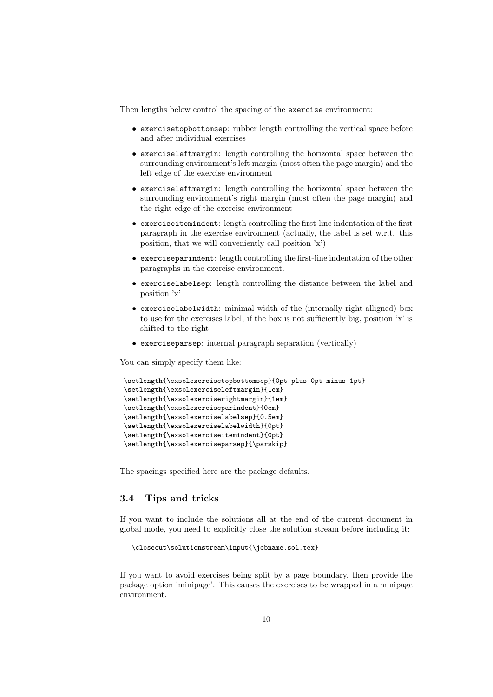Then lengths below control the spacing of the exercise environment:

- exercisetopbottomsep: rubber length controlling the vertical space before and after individual exercises
- exerciseleftmargin: length controlling the horizontal space between the surrounding environment's left margin (most often the page margin) and the left edge of the exercise environment
- exerciseleftmargin: length controlling the horizontal space between the surrounding environment's right margin (most often the page margin) and the right edge of the exercise environment
- exerciseitemindent: length controlling the first-line indentation of the first paragraph in the exercise environment (actually, the label is set w.r.t. this position, that we will conveniently call position 'x')
- exerciseparindent: length controlling the first-line indentation of the other paragraphs in the exercise environment.
- exerciselabelsep: length controlling the distance between the label and position 'x'
- exerciselabelwidth: minimal width of the (internally right-alligned) box to use for the exercises label; if the box is not sufficiently big, position 'x' is shifted to the right
- exerciseparsep: internal paragraph separation (vertically)

You can simply specify them like:

```
\setlength{\exsolexercisetopbottomsep}{0pt plus 0pt minus 1pt}
\setlength{\exsolexerciseleftmargin}{1em}
\setlength{\exsolexerciserightmargin}{1em}
\setlength{\exsolexerciseparindent}{0em}
\setlength{\exsolexerciselabelsep}{0.5em}
\setlength{\exsolexerciselabelwidth}{0pt}
\setlength{\exsolexerciseitemindent}{0pt}
\setlength{\exsolexerciseparsep}{\parskip}
```
The spacings specified here are the package defaults.

# 3.4 Tips and tricks

If you want to include the solutions all at the end of the current document in global mode, you need to explicitly close the solution stream before including it:

```
\closeout\solutionstream\input{\jobname.sol.tex}
```
If you want to avoid exercises being split by a page boundary, then provide the package option 'minipage'. This causes the exercises to be wrapped in a minipage environment.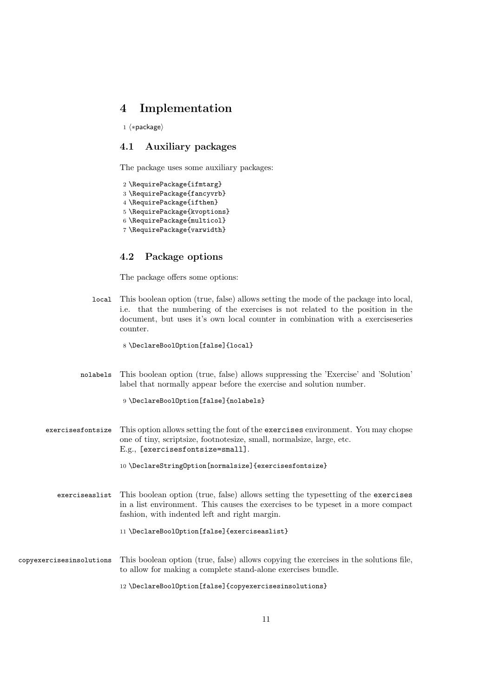# 4 Implementation

1  $\langle *package \rangle$ 

# 4.1 Auxiliary packages

The package uses some auxiliary packages:

```
2 \RequirePackage{ifmtarg}
3 \RequirePackage{fancyvrb}
4 \RequirePackage{ifthen}
5 \RequirePackage{kvoptions}
6 \RequirePackage{multicol}
7 \RequirePackage{varwidth}
```
## 4.2 Package options

The package offers some options:

local This boolean option (true, false) allows setting the mode of the package into local, i.e. that the numbering of the exercises is not related to the position in the document, but uses it's own local counter in combination with a exerciseseries counter.

8 \DeclareBoolOption[false]{local}

nolabels This boolean option (true, false) allows suppressing the 'Exercise' and 'Solution' label that normally appear before the exercise and solution number.

9 \DeclareBoolOption[false]{nolabels}

exercisesfontsize This option allows setting the font of the exercises environment. You may chopse one of tiny, scriptsize, footnotesize, small, normalsize, large, etc. E.g., [exercisesfontsize=small].

10 \DeclareStringOption[normalsize]{exercisesfontsize}

exerciseaslist This boolean option (true, false) allows setting the typesetting of the exercises in a list environment. This causes the exercises to be typeset in a more compact fashion, with indented left and right margin.

#### 11 \DeclareBoolOption[false]{exerciseaslist}

copyexercisesinsolutions This boolean option (true, false) allows copying the exercises in the solutions file, to allow for making a complete stand-alone exercises bundle.

12 \DeclareBoolOption[false]{copyexercisesinsolutions}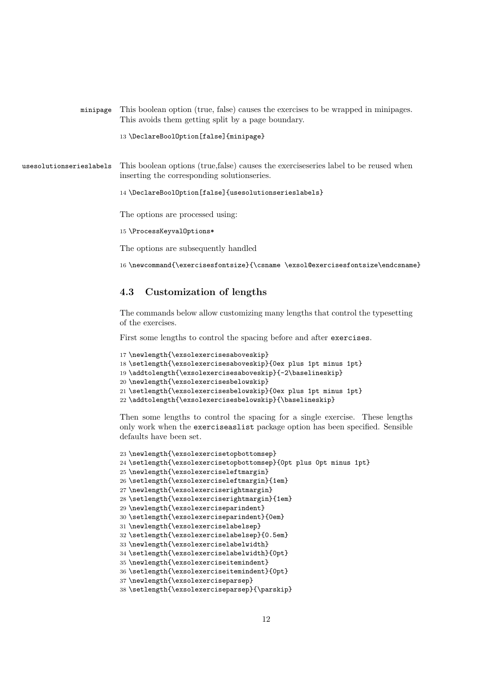|                         | This avoids them getting split by a page boundary.                                                                                   |
|-------------------------|--------------------------------------------------------------------------------------------------------------------------------------|
|                         | 13 \DeclareBoolOption[false]{minipage}                                                                                               |
| usesolutionserieslabels | This boolean options (true, false) causes the exercises eries label to be reused when<br>inserting the corresponding solutionseries. |
|                         | 14 \DeclareBoolOption[false]{usesolutionserieslabels}<br>The options are processed using:                                            |
|                         | 15 \ProcessKeyvalOptions*                                                                                                            |
|                         | The options are subsequently handled                                                                                                 |
|                         |                                                                                                                                      |

minipage This boolean option (true, false) causes the exercises to be wrapped in minipages.

\newcommand{\exercisesfontsize}{\csname \exsol@exercisesfontsize\endcsname}

## 4.3 Customization of lengths

The commands below allow customizing many lengths that control the typesetting of the exercises.

First some lengths to control the spacing before and after exercises.

```
17 \newlength{\exsolexercisesaboveskip}
18 \setlength{\exsolexercisesaboveskip}{0ex plus 1pt minus 1pt}
19 \addtolength{\exsolexercisesaboveskip}{-2\baselineskip}
20 \newlength{\exsolexercisesbelowskip}
21 \setlength{\exsolexercisesbelowskip}{0ex plus 1pt minus 1pt}
22 \addtolength{\exsolexercisesbelowskip}{\baselineskip}
```
Then some lengths to control the spacing for a single exercise. These lengths only work when the exerciseaslist package option has been specified. Sensible defaults have been set.

```
23 \newlength{\exsolexercisetopbottomsep}
24 \setlength{\exsolexercisetopbottomsep}{0pt plus 0pt minus 1pt}
25 \newlength{\exsolexerciseleftmargin}
26 \setlength{\exsolexerciseleftmargin}{1em}
27 \newlength{\exsolexerciserightmargin}
28 \setlength{\exsolexerciserightmargin}{1em}
29 \newlength{\exsolexerciseparindent}
30 \setlength{\exsolexerciseparindent}{0em}
31 \newlength{\exsolexerciselabelsep}
32 \setlength{\exsolexerciselabelsep}{0.5em}
33 \newlength{\exsolexerciselabelwidth}
34 \setlength{\exsolexerciselabelwidth}{0pt}
35 \newlength{\exsolexerciseitemindent}
36 \setlength{\exsolexerciseitemindent}{0pt}
37 \newlength{\exsolexerciseparsep}
38 \setlength{\exsolexerciseparsep}{\parskip}
```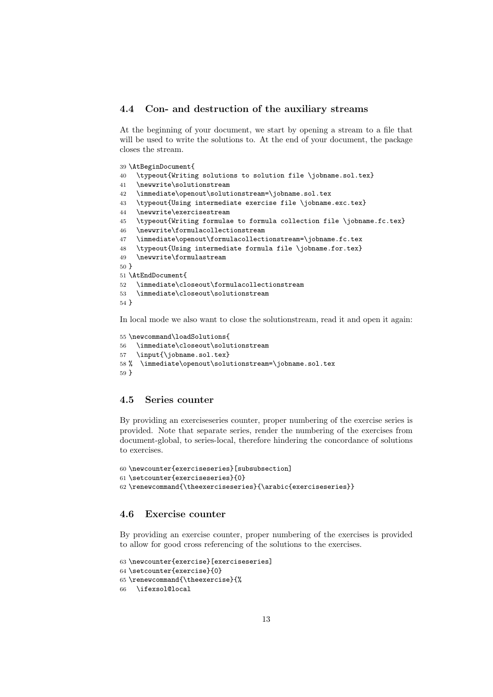### 4.4 Con- and destruction of the auxiliary streams

At the beginning of your document, we start by opening a stream to a file that will be used to write the solutions to. At the end of your document, the package closes the stream.

```
39 \AtBeginDocument{
40 \typeout{Writing solutions to solution file \jobname.sol.tex}
41 \newwrite\solutionstream
42 \immediate\openout\solutionstream=\jobname.sol.tex
43 \typeout{Using intermediate exercise file \jobname.exc.tex}
44 \newwrite\exercisestream
45 \typeout{Writing formulae to formula collection file \jobname.fc.tex}
46 \newwrite\formulacollectionstream
47 \immediate\openout\formulacollectionstream=\jobname.fc.tex
48 \typeout{Using intermediate formula file \jobname.for.tex}
49 \newwrite\formulastream
50 }
51 \AtEndDocument{
52 \immediate\closeout\formulacollectionstream
53 \immediate\closeout\solutionstream
54 }
```
In local mode we also want to close the solutionstream, read it and open it again:

```
55 \newcommand\loadSolutions{
56 \immediate\closeout\solutionstream
57 \input{\jobname.sol.tex}
58 % \immediate\openout\solutionstream=\jobname.sol.tex
59 }
```
## 4.5 Series counter

By providing an exerciseseries counter, proper numbering of the exercise series is provided. Note that separate series, render the numbering of the exercises from document-global, to series-local, therefore hindering the concordance of solutions to exercises.

```
60 \newcounter{exerciseseries}[subsubsection]
61 \setcounter{exerciseseries}{0}
62 \renewcommand{\theexerciseseries}{\arabic{exerciseseries}}
```
# 4.6 Exercise counter

By providing an exercise counter, proper numbering of the exercises is provided to allow for good cross referencing of the solutions to the exercises.

```
63 \newcounter{exercise}[exerciseseries]
64 \setcounter{exercise}{0}
65 \renewcommand{\theexercise}{%
66 \ifexsol@local
```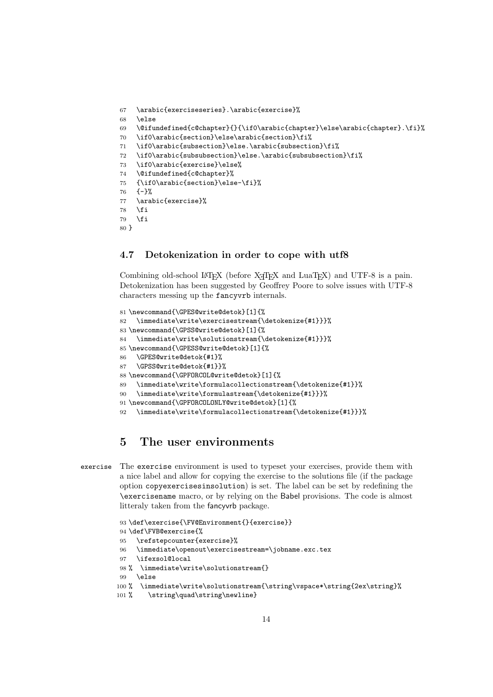```
67 \arabic{exerciseseries}.\arabic{exercise}%
68 \else
69 \@ifundefined{c@chapter}{}{\if0\arabic{chapter}\else\arabic{chapter}.\fi}%
70 \if0\arabic{section}\else\arabic{section}\fi%
71 \if0\arabic{subsection}\else.\arabic{subsection}\fi%
72 \if0\arabic{subsubsection}\else.\arabic{subsubsection}\fi%
73 \if0\arabic{exercise}\else%
74 \@ifundefined{c@chapter}%
75 {\if0\arabic{section}\else-\fi}%
76 {-}%
77 \arabic{exercise}%
78 \fi
79 \fi
80 }
```
## 4.7 Detokenization in order to cope with utf8

Combining old-school LATEX (before X<sub>T</sub>TEX and LuaTEX) and UTF-8 is a pain. Detokenization has been suggested by Geoffrey Poore to solve issues with UTF-8 characters messing up the fancyvrb internals.

```
81 \newcommand{\GPES@write@detok}[1]{%
82 \immediate\write\exercisestream{\detokenize{#1}}}%
83 \newcommand{\GPSS@write@detok}[1]{%
84 \immediate\write\solutionstream{\detokenize{#1}}}%
85 \newcommand{\GPESS@write@detok}[1]{%
86 \GPES@write@detok{#1}%
87 \GPSS@write@detok{#1}}%
88 \newcommand{\GPFORCOL@write@detok}[1]{%
89 \immediate\write\formulacollectionstream{\detokenize{#1}}%
90 \immediate\write\formulastream{\detokenize{#1}}}%
91 \newcommand{\GPFORCOLONLY@write@detok}[1]{%
92 \immediate\write\formulacollectionstream{\detokenize{#1}}}%
```
# 5 The user environments

```
exercise The exercise environment is used to typeset your exercises, provide them with
          a nice label and allow for copying the exercise to the solutions file (if the package
          option copyexercisesinsolution) is set. The label can be set by redefining the
          \exercisename macro, or by relying on the Babel provisions. The code is almost
          litteraly taken from the fancyvrb package.
```

```
93 \def\exercise{\FV@Environment{}{exercise}}
94 \def\FVB@exercise{%
95 \refstepcounter{exercise}%
96 \immediate\openout\exercisestream=\jobname.exc.tex
97 \ifexsol@local
98 % \immediate\write\solutionstream{}
99 \else
100 % \immediate\write\solutionstream{\string\vspace*\string{2ex\string}%
101 % \string\quad\string\newline}
```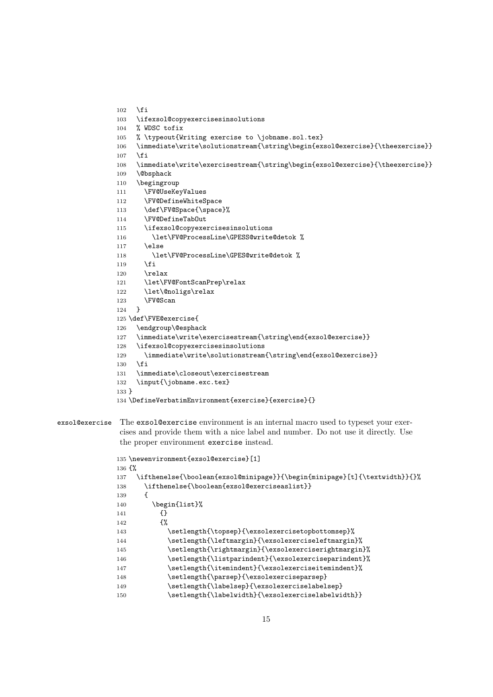```
102 \text{ } \text{ } 16103 \ifexsol@copyexercisesinsolutions
                 104 % WDSC tofix
                 105 % \typeout{Writing exercise to \jobname.sol.tex}
                 106 \immediate\write\solutionstream{\string\begin{exsol@exercise}{\theexercise}}
                 107 \fi
                 108 \immediate\write\exercisestream{\string\begin{exsol@exercise}{\theexercise}}
                 109 \@bsphack
                 110 \begingroup
                 111 \FV@UseKeyValues
                 112 \FV@DefineWhiteSpace
                 113 \def\FV@Space{\space}%
                 114 \FV@DefineTabOut
                 115 \ifexsol@copyexercisesinsolutions
                 116 \let\FV@ProcessLine\GPESS@write@detok %
                 117 \leq \leq \leq \leq \leq \leq \leq \leq \leq \leq \leq \leq \leq \leq \leq \leq \leq \leq \leq \leq \leq \leq \leq \leq \leq \leq \leq \leq \leq \leq \leq \leq \leq \leq \leq \leq118 \let\FV@ProcessLine\GPES@write@detok %
                 119 \overrightarrow{fi}120 \relax
                 121 \let\FV@FontScanPrep\relax
                 122 \let\@noligs\relax
                 123 \FV@Scan
                 124 }
                 125 \def\FVE@exercise{
                 126 \endgroup\@esphack
                 127 \immediate\write\exercisestream{\string\end{exsol@exercise}}
                 128 \ifexsol@copyexercisesinsolutions
                 129 \immediate\write\solutionstream{\string\end{exsol@exercise}}
                 130 \fi
                 131 \immediate\closeout\exercisestream
                 132 \input{\jobname.exc.tex}
                 133 }
                 134 \DefineVerbatimEnvironment{exercise}{exercise}{}
exsol@exercise The exsol@exercise environment is an internal macro used to typeset your exer-
```
# cises and provide them with a nice label and number. Do not use it directly. Use the proper environment exercise instead.

```
135 \newenvironment{exsol@exercise}[1]
136 {%
137 \ifthenelse{\boolean{exsol@minipage}}{\begin{minipage}[t]{\textwidth}}{}%
138 \ifthenelse{\boolean{exsol@exerciseaslist}}
139 {
140 \begin{list}%
141 \{\}142 \{ \%143 \setlength{\topsep}{\exsolexercisetopbottomsep}%
144 \setlength{\leftmargin}{\exsolexerciseleftmargin}%
145 \setlength{\rightmargin}{\exsolexerciserightmargin}%
146 \setlength{\listparindent}{\exsolexerciseparindent}%
147 \setlength{\itemindent}{\exsolexerciseitemindent}%
148 \setlength{\parsep}{\exsolexerciseparsep}
149 \setlength{\labelsep}{\exsolexerciselabelsep}
150 \setlength{\labelwidth}{\exsolexerciselabelwidth}}
```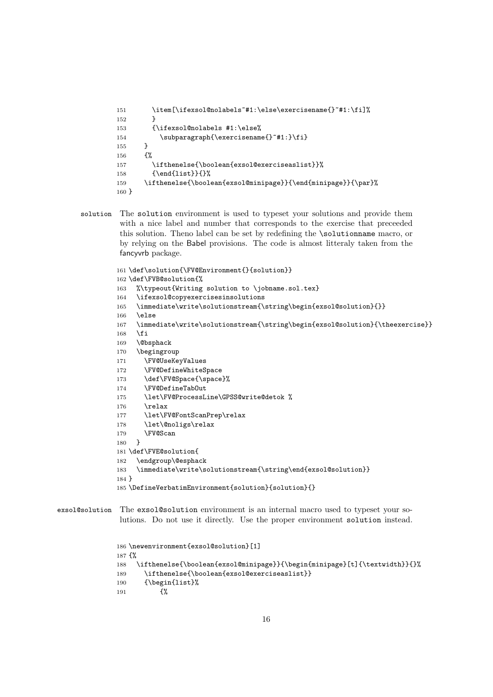```
151 \item[\ifexsol@nolabels~#1:\else\exercisename{}~#1:\fi]%
152 }
153 {\ifexsol@nolabels #1:\else%
154 \subparagraph{\exercisename{}"#1:}\fi}
155 }
156 {%
157 \ifthenelse{\boolean{exsol@exerciseaslist}}%
158 {\end{list}}{}%
159 \ifthenelse{\boolean{exsol@minipage}}{\end{minipage}}{\par}%
160 }
```
solution The solution environment is used to typeset your solutions and provide them with a nice label and number that corresponds to the exercise that preceeded this solution. Theno label can be set by redefining the \solutionname macro, or by relying on the Babel provisions. The code is almost litteraly taken from the fancyvrb package.

```
161 \def\solution{\FV@Environment{}{solution}}
162 \def\FVB@solution{%
163 %\typeout{Writing solution to \jobname.sol.tex}
164 \ifexsol@copyexercisesinsolutions
165 \immediate\write\solutionstream{\string\begin{exsol@solution}{}}
166 \else
167 \immediate\write\solutionstream{\string\begin{exsol@solution}{\theexercise}}
168 \fi
169 \@bsphack
170 \begingroup
171 \FV@UseKeyValues
172 \FV@DefineWhiteSpace
173 \def\FV@Space{\space}%
174 \FV@DefineTabOut
175 \let\FV@ProcessLine\GPSS@write@detok %
176 \relax
177 \let\FV@FontScanPrep\relax
178 \let\@noligs\relax
179 \FV@Scan
180 }
181 \def\FVE@solution{
182 \endgroup\@esphack
183 \immediate\write\solutionstream{\string\end{exsol@solution}}
184 }
185 \DefineVerbatimEnvironment{solution}{solution}{}
```

```
exsol@solution The exsol@solution environment is an internal macro used to typeset your so-
                lutions. Do not use it directly. Use the proper environment solution instead.
```

```
186 \newenvironment{exsol@solution}[1]
187 {%
188 \ifthenelse{\boolean{exsol@minipage}}{\begin{minipage}[t]{\textwidth}}{}%
189 \ifthenelse{\boolean{exsol@exerciseaslist}}
190 {\begin{list}%
191 {%
```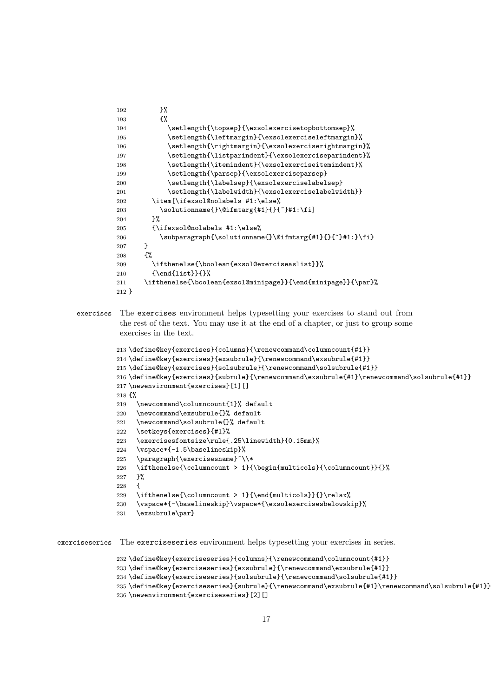| 192     | }%                                                           |
|---------|--------------------------------------------------------------|
| 193     | {%                                                           |
| 194     | \setlength{\topsep}{\exsolexercisetopbottomsep}%             |
| 195     | \setlength{\leftmargin}{\exsolexerciseleftmargin}%           |
| 196     | \setlength{\rightmargin}{\exsolexerciserightmargin}%         |
| 197     | \setlength{\listparindent}{\exsolexerciseparindent}%         |
| 198     | \setlength{\itemindent}{\exsolexerciseitemindent}%           |
| 199     | \setlength{\parsep}{\exsolexerciseparsep}                    |
| 200     | \setlength{\labelsep}{\exsolexerciselabelsep}                |
| 201     | \setlength{\labelwidth}{\exsolexerciselabelwidth}}           |
| 202     | \item[\ifexsol@nolabels #1:\else%                            |
| 203     | \solutionname{}\@ifmtarg{#1}{}{~}#1:\fi]                     |
| 204     | ጉ%                                                           |
| 205     | {\ifexsol@nolabels #1:\else%                                 |
| 206     | \subparagraph{\solutionname{}\@ifmtarg{#1}{}{~}#1:}\fi}      |
| 207     | }                                                            |
| 208     | {%                                                           |
| 209     | \ifthenelse{\boolean{exsol@exerciseaslist}}%                 |
| 210     | $\{\end{matrix} \$                                           |
| 211     | \ifthenelse{\boolean{exsol@minipage}}{\end{minipage}}{\par}% |
| $212$ } |                                                              |

exercises The exercises environment helps typesetting your exercises to stand out from the rest of the text. You may use it at the end of a chapter, or just to group some exercises in the text.

```
213 \define@key{exercises}{columns}{\renewcommand\columncount{#1}}
214 \define@key{exercises}{exsubrule}{\renewcommand\exsubrule{#1}}
215 \define@key{exercises}{solsubrule}{\renewcommand\solsubrule{#1}}
216 \define@key{exercises}{subrule}{\renewcommand\exsubrule{#1}\renewcommand\solsubrule{#1}}
217 \newenvironment{exercises}[1][]
218 {%
219 \newcommand\columncount{1}% default
220 \newcommand\exsubrule{}% default
221 \newcommand\solsubrule{}% default
222 \setkeys{exercises}{#1}%
223 \exercisesfontsize\rule{.25\linewidth}{0.15mm}%
224 \vspace*{-1.5\baselineskip}%
225 \paragraph{\exercisesname}~\\*
226 \ifthenelse{\columncount > 1}{\begin{multicols}{\columncount}}{}%
227 }%
228 {
229 \ifthenelse{\columncount > 1}{\end{multicols}}{}\relax%
230 \vspace*{-\baselineskip}\vspace*{\exsolexercisesbelowskip}%
231 \exsubrule\par}
```
exerciseseries The exerciseseries environment helps typesetting your exercises in series.

```
232 \define@key{exerciseseries}{columns}{\renewcommand\columncount{#1}}
233 \define@key{exerciseseries}{exsubrule}{\renewcommand\exsubrule{#1}}
234 \define@key{exerciseseries}{solsubrule}{\renewcommand\solsubrule{#1}}
235 \define@key{exerciseseries}{subrule}{\renewcommand\exsubrule{#1}\renewcommand\solsubrule{#1}}
236 \newenvironment{exerciseseries}[2][]
```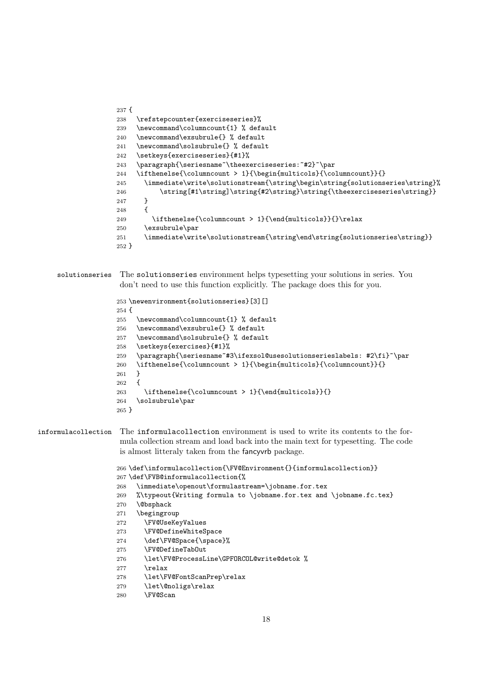```
237 {
238 \refstepcounter{exerciseseries}%
239 \newcommand\columncount{1} % default
240 \newcommand\exsubrule{} % default
241 \newcommand\solsubrule{} % default
242 \setkeys{exerciseseries}{#1}%
243 \paragraph{\seriesname~\theexerciseseries:~#2}~\par
244 \ifthenelse{\columncount > 1}{\begin{multicols}{\columncount}}{}
245 \immediate\write\solutionstream{\string\begin\string{solutionseries\string}%
246 \label{cor:optimal} $$ 246 \string[#1\string]\string\string\string\string\thee}{\hee}{\hee}{\hee}{\rm se} {2\over 2} \sigma \rm s}{\hee}247 }
248 {
249 \ifthenelse{\columncount > 1}{\end{multicols}}{}\relax
250 \exsubrule\par
251 \immediate\write\solutionstream{\string\end\string{solutionseries\string}}
252 }
```

```
solutionseries The solutionseries environment helps typesetting your solutions in series. You
                don't need to use this function explicitly. The package does this for you.
```

```
253 \newenvironment{solutionseries}[3][]
254 {
255 \newcommand\columncount{1} % default
256 \newcommand\exsubrule{} % default
257 \newcommand\solsubrule{} % default
258 \setkeys{exercises}{#1}%
259 \paragraph{\seriesname~#3\ifexsol@usesolutionserieslabels: #2\fi}~\par
260 \ifthenelse{\columncount > 1}{\begin{multicols}{\columncount}}{}
261 }
262 {
263 \ifthenelse{\columncount > 1}{\end{multicols}}{}
264 \solsubrule\par
265 }
```

```
informulacollection The informulacollection environment is used to write its contents to the for-
                      mula collection stream and load back into the main text for typesetting. The code
                      is almost litteraly taken from the fancyvrb package.
```

```
266 \def\informulacollection{\FV@Environment{}{informulacollection}}
267 \def\FVB@informulacollection{%
268 \immediate\openout\formulastream=\jobname.for.tex
269 %\typeout{Writing formula to \jobname.for.tex and \jobname.fc.tex}
270 \@bsphack
271 \begingroup
272 \FV@UseKeyValues
273 \FV@DefineWhiteSpace
274 \def\FV@Space{\space}%
```
- \FV@DefineTabOut
- 276 \let\FV@ProcessLine\GPFORCOL@write@detok %
- $\text{Vrelax}$
- \let\FV@FontScanPrep\relax
- \let\@noligs\relax
- \FV@Scan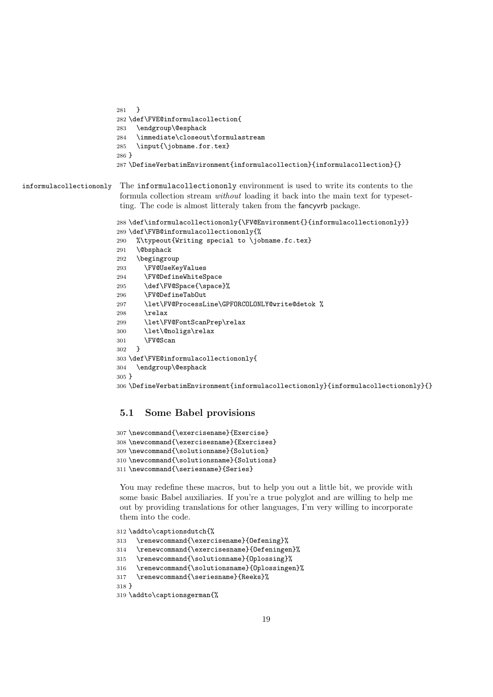```
281 }
282 \def\FVE@informulacollection{
283 \endgroup\@esphack
284 \immediate\closeout\formulastream
285 \input{\jobname.for.tex}
286 }
287 \DefineVerbatimEnvironment{informulacollection}{informulacollection}{}
```
### informulacollectiononly The informulacollectiononly environment is used to write its contents to the formula collection stream without loading it back into the main text for typesetting. The code is almost litteraly taken from the fancyvrb package.

```
288 \def\informulacollectiononly{\FV@Environment{}{informulacollectiononly}}
289 \def\FVB@informulacollectiononly{%
290 %\typeout{Writing special to \jobname.fc.tex}
291 \@bsphack
292 \begingroup
293 \FV@UseKeyValues
294 \FV@DefineWhiteSpace
295 \def\FV@Space{\space}%
296 \FV@DefineTabOut
297 \let\FV@ProcessLine\GPFORCOLONLY@write@detok %
298 \relax
299 \let\FV@FontScanPrep\relax
300 \let\@noligs\relax
301 \FV@Scan
302 }
303 \def\FVE@informulacollectiononly{
304 \endgroup\@esphack
305 }
306 \DefineVerbatimEnvironment{informulacollectiononly}{informulacollectiononly}{}
```
# 5.1 Some Babel provisions

```
307 \newcommand{\exercisename}{Exercise}
308 \newcommand{\exercisesname}{Exercises}
309 \newcommand{\solutionname}{Solution}
310 \newcommand{\solutionsname}{Solutions}
311 \newcommand{\seriesname}{Series}
```
You may redefine these macros, but to help you out a little bit, we provide with some basic Babel auxiliaries. If you're a true polyglot and are willing to help me out by providing translations for other languages, I'm very willing to incorporate them into the code.

```
312 \addto\captionsdutch{%
313 \renewcommand{\exercisename}{Oefening}%
314 \renewcommand{\exercisesname}{Oefeningen}%
315 \renewcommand{\solutionname}{Oplossing}%
316 \renewcommand{\solutionsname}{Oplossingen}%
317 \renewcommand{\seriesname}{Reeks}%
318 }
319 \addto\captionsgerman{%
```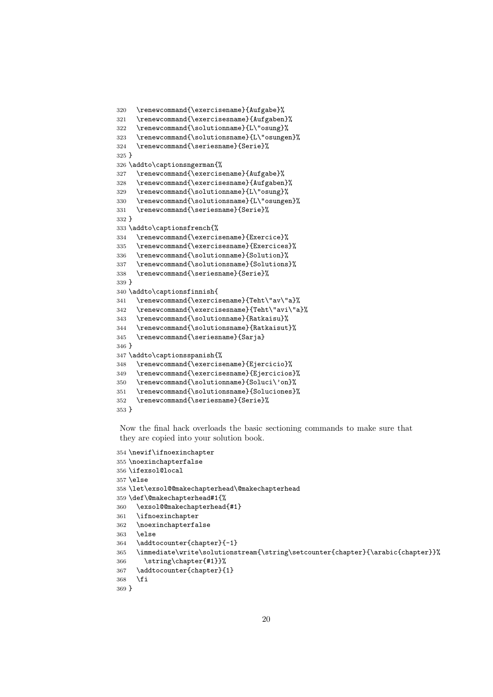```
320 \renewcommand{\exercisename}{Aufgabe}%
321 \renewcommand{\exercisesname}{Aufgaben}%
322 \renewcommand{\solutionname}{L\"osung}%
323 \renewcommand{\solutionsname}{L\"osungen}%
324 \renewcommand{\seriesname}{Serie}%
325 }
326 \addto\captionsngerman{%
327 \renewcommand{\exercisename}{Aufgabe}%
328 \renewcommand{\exercisesname}{Aufgaben}%
329 \renewcommand{\solutionname}{L\"osung}%
330 \renewcommand{\solutionsname}{L\"osungen}%
331 \renewcommand{\seriesname}{Serie}%
332 }
333 \addto\captionsfrench{%
334 \renewcommand{\exercisename}{Exercice}%
335 \renewcommand{\exercisesname}{Exercices}%
336 \renewcommand{\solutionname}{Solution}%
337 \renewcommand{\solutionsname}{Solutions}%
338 \renewcommand{\seriesname}{Serie}%
339 }
340 \addto\captionsfinnish{
341 \renewcommand{\exercisename}{Teht\"av\"a}%
342 \renewcommand{\exercisesname}{Teht\"avi\"a}%
343 \renewcommand{\solutionname}{Ratkaisu}%
344 \renewcommand{\solutionsname}{Ratkaisut}%
345 \renewcommand{\seriesname}{Sarja}
346 }
347 \addto\captionsspanish{%
348 \renewcommand{\exercisename}{Ejercicio}%
349 \renewcommand{\exercisesname}{Ejercicios}%
350 \renewcommand{\solutionname}{Soluci\'on}%
351 \renewcommand{\solutionsname}{Soluciones}%
352 \renewcommand{\seriesname}{Serie}%
353 }
```
Now the final hack overloads the basic sectioning commands to make sure that they are copied into your solution book.

```
354 \newif\ifnoexinchapter
355 \noexinchapterfalse
356 \ifexsol@local
357 \else
358 \let\exsol@@makechapterhead\@makechapterhead
359 \def\@makechapterhead#1{%
360 \exsol@@makechapterhead{#1}
361 \ifnoexinchapter
362 \noexinchapterfalse
363 \else
364 \addtocounter{chapter}{-1}
365 \immediate\write\solutionstream{\string\setcounter{chapter}{\arabic{chapter}}%
366 \string\chapter{#1}}%
367 \addtocounter{chapter}{1}
368 \fi
369 }
```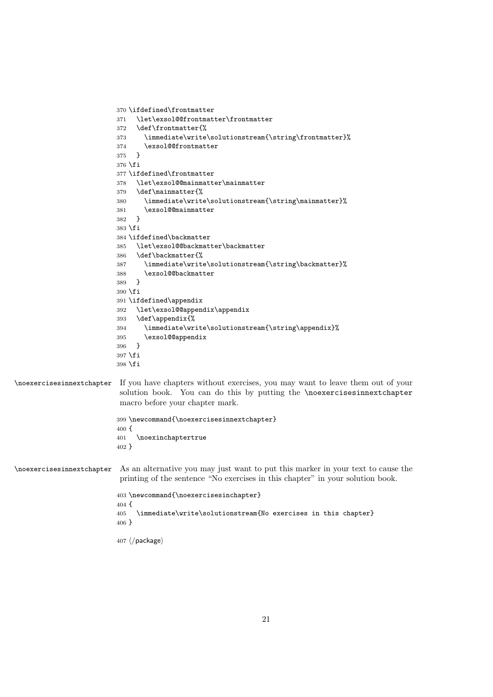```
370 \ifdefined\frontmatter
                          371 \let\exsol@@frontmatter\frontmatter
                          372 \def\frontmatter{%
                          373 \immediate\write\solutionstream{\string\frontmatter}%
                          374 \exsol@@frontmatter
                          375 }
                          376 \fi
                          377 \ifdefined\frontmatter
                          378 \let\exsol@@mainmatter\mainmatter
                          379 \def\mainmatter{%
                          380 \immediate\write\solutionstream{\string\mainmatter}%
                          381 \exsol@@mainmatter
                          382 }
                          383 \fi
                          384 \ifdefined\backmatter
                          385 \let\exsol@@backmatter\backmatter
                          386 \def\backmatter{%
                          387 \immediate\write\solutionstream{\string\backmatter}%
                          388 \exsol@@backmatter
                          389\,390 \fi
                          391 \ifdefined\appendix
                          392 \let\exsol@@appendix\appendix
                          393 \def\appendix{%
                          394 \immediate\write\solutionstream{\string\appendix}%
                          395 \exsol@@appendix
                          396 }
                          397 \fi
                          398 \fi
\noexercisesinnextchapter If you have chapters without exercises, you may want to leave them out of your
                           solution book. You can do this by putting the \noexercisesinnextchapter
                           macro before your chapter mark.
                          399 \newcommand{\noexercisesinnextchapter}
                          400 \text{ f}401 \noexinchaptertrue
                          402 }
\noexercisesinnextchapter As an alternative you may just want to put this marker in your text to cause the
                           printing of the sentence "No exercises in this chapter" in your solution book.
                          403 \newcommand{\noexercisesinchapter}
                          404 {
                          405 \immediate\write\solutionstream{No exercises in this chapter}
                          406 }
                          407 \langle / \text{package} \rangle
```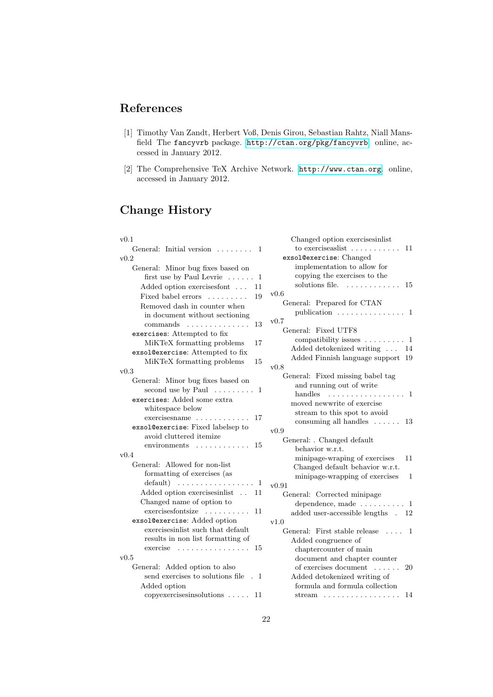# References

- <span id="page-21-0"></span>[1] Timothy Van Zandt, Herbert Voß, Denis Girou, Sebastian Rahtz, Niall Mansfield The fancyvrb package. <http://ctan.org/pkg/fancyvrb>. online, accessed in January 2012.
- <span id="page-21-1"></span>[2] The Comprehensive TeX Archive Network. <http://www.ctan.org>. online, accessed in January 2012.

# Change History

| v0.1                                                       | Changed option exercisesinlist                                                                                     |
|------------------------------------------------------------|--------------------------------------------------------------------------------------------------------------------|
| General: Initial version<br>1                              | to exercise as $\left  \cdot \right $<br>11                                                                        |
| v0.2                                                       | exsol@exercise: Changed                                                                                            |
| General: Minor bug fixes based on                          | implementation to allow for                                                                                        |
| first use by Paul Levrie $\dots$ .<br>1                    | copying the exercises to the                                                                                       |
| Added option exercises font<br>11                          | solutions file.<br>15                                                                                              |
| Fixed babel errors<br>19                                   | v0.6                                                                                                               |
| Removed dash in counter when                               | General: Prepared for CTAN                                                                                         |
| in document without sectioning                             | publication $\dots\dots\dots\dots\dots 1$                                                                          |
| commands<br>13                                             | v0.7                                                                                                               |
| exercises: Attempted to fix                                | General: Fixed UTF8                                                                                                |
| MiKTeX formatting problems<br>17                           | compatibility issues $\dots \dots \dots 1$                                                                         |
| exsol@exercise: Attempted to fix                           | Added detokenized writing  14                                                                                      |
| MiKTeX formatting problems<br>15                           | Added Finnish language support 19                                                                                  |
| v0.3                                                       | v0.8                                                                                                               |
| General: Minor bug fixes based on                          | General: Fixed missing babel tag<br>and running out of write                                                       |
| second use by Paul $\dots \dots 1$                         | handles<br>. 1                                                                                                     |
| exercises: Added some extra                                | moved newwrite of exercise                                                                                         |
| whitespace below                                           | stream to this spot to avoid                                                                                       |
| $exercises name \ldots \ldots \ldots$<br>17                | consuming all handles $\ldots \ldots$ 13                                                                           |
| exsol@exercise: Fixed labelsep to                          | v0.9                                                                                                               |
| avoid cluttered itemize                                    | General: . Changed default                                                                                         |
| environments<br>15                                         | behavior w.r.t.                                                                                                    |
| v0.4                                                       | minipage-wraping of exercises<br>11                                                                                |
| General: Allowed for non-list                              | Changed default behavior w.r.t.                                                                                    |
| formatting of exercises (as                                | minipage-wrapping of exercises<br>1                                                                                |
| $\text{default}$ $\ldots$ $\ldots$ $\ldots$ $\ldots$<br>-1 | v(0.91)                                                                                                            |
| Added option exercisesinlist<br>11<br>$\ddotsc$            | General: Corrected minipage                                                                                        |
| Changed name of option to                                  | dependence, made $\dots \dots \dots 1$                                                                             |
| exercisesfontsize<br>11                                    | added user-accessible lengths .<br>12                                                                              |
| exsol@exercise: Added option                               | v1.0                                                                                                               |
| exercisesinlist such that default                          | General: First stable release<br>- 1<br>$\overline{1}$ $\overline{1}$ $\overline{1}$ $\overline{1}$ $\overline{1}$ |
| results in non list formatting of                          | Added congruence of                                                                                                |
| $exercise \dots \dots \dots \dots \dots$<br>15             | chaptercounter of main                                                                                             |
| v0.5                                                       | document and chapter counter                                                                                       |
| General: Added option to also                              | of exercises document<br>20                                                                                        |
| send exercises to solutions file . 1                       | Added detokenized writing of                                                                                       |
| Added option                                               | formula and formula collection                                                                                     |
| $copy exercises in solutions \ldots$ .<br>11               | 14<br>stream $\dots \dots \dots \dots \dots \dots$                                                                 |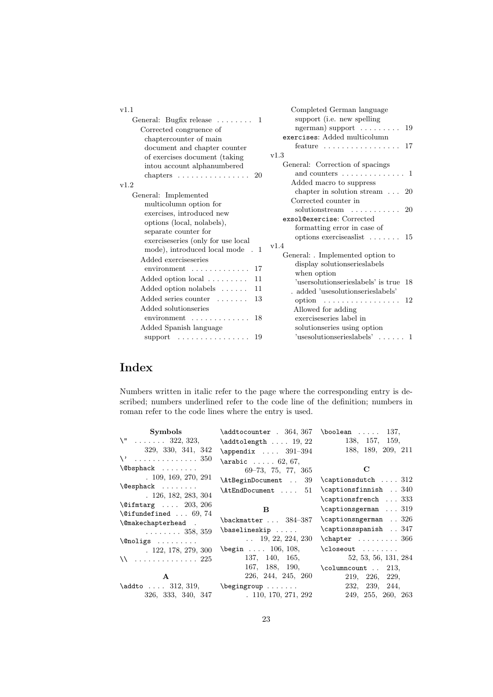| v1.1                                                                                                                                            | Completed German language                                                                                                                                     |  |
|-------------------------------------------------------------------------------------------------------------------------------------------------|---------------------------------------------------------------------------------------------------------------------------------------------------------------|--|
| General: Bugfix release $\dots \dots 1$<br>Corrected congruence of<br>chaptercounter of main<br>document and chapter counter                    | support (i.e. new spelling<br>ngerman) support $\dots \dots$<br>19<br>exercises: Added multicolumn<br>feature $\ldots \ldots \ldots \ldots \ldots 17$<br>v1.3 |  |
| of exercises document (taking)<br>intou account alphanumbered<br>chapters $\dots \dots \dots \dots \dots$<br>20<br>v1.2<br>General: Implemented | General: Correction of spacings<br>and counters $\dots \dots \dots \dots \dots 1$<br>Added macro to suppress<br>chapter in solution stream $\ldots$ 20        |  |
| multicolumn option for<br>exercises, introduced new<br>options (local, nolabels),<br>separate counter for                                       | Corrected counter in<br>solutionstream<br>-20<br>exsol@exercise: Corrected<br>formatting error in case of<br>options exerciseaslist $\dots \dots 15$          |  |
| exerciseseries (only for use local<br>mode), introduced local mode . 1<br>Added exerciseseries<br>environment<br>17                             | v1.4<br>General: Implemented option to<br>display solutionseries labels<br>when option                                                                        |  |
| Added option local<br>11<br>$\text{Added option nolabels} \dots \dots$<br>11                                                                    | 'usersolutionserieslabels' is true 18<br>. added 'usesolutionserieslabels'                                                                                    |  |
| Added series counter<br>13<br>Added solutionseries<br>environment<br>18                                                                         | option $\dots \dots \dots \dots \dots \dots 12$<br>Allowed for adding<br>exerciseseries label in                                                              |  |
| Added Spanish language<br>-19<br>$support \dots \dots \dots \dots \dots$                                                                        | solutionseries using option<br>$'$ usesolutionserieslabels' 1                                                                                                 |  |

# Index

Numbers written in italic refer to the page where the corresponding entry is described; numbers underlined refer to the code line of the definition; numbers in roman refer to the code lines where the entry is used.

| Symbols                                                                                  | $\addtocounter$ . 364, 367 \boolean  137,                        |                           |
|------------------------------------------------------------------------------------------|------------------------------------------------------------------|---------------------------|
| $\Upsilon$ 322, 323,                                                                     | $\addtolength \dots 19, 22$                                      | 138, 157, 159,            |
| 329, 330, 341, 342                                                                       | $\Delta$ \appendix  391-394                                      | 188, 189, 209, 211        |
| $\setminus$ 350                                                                          | $\arabic \ldots 62, 67,$                                         |                           |
| $\Diamond$ bsphack                                                                       | $69-73, 75, 77, 365$                                             | $\mathbf C$               |
| .109, 169, 270, 291                                                                      | \AtBeginDocument  39                                             | $\cap$ saptionsdutch  312 |
| \@esphack                                                                                | \AtEndDocument  51                                               | \captionsfinnish  340     |
| .126, 182, 283, 304                                                                      |                                                                  | \captionsfrench  333      |
| $\text{^\{0}$ ifmtarg $203, 206$                                                         | B.                                                               | $\cap$ $\ldots$ 319       |
| $\text{\textdegree} 74$                                                                  | \backmatter  384-387                                             | \captionsngerman  326     |
| \@makechapterhead .                                                                      |                                                                  | \captionsspanish  347     |
| $\ldots \ldots 358, 359$                                                                 | \baselineskip                                                    |                           |
| $\label{eq:conformal} \begin{array}{ccc} \texttt{@noligs} & \ldots & \ldots \end{array}$ | $\ldots$ 19, 22, 224, 230                                        |                           |
| .122, 178, 279, 300                                                                      | $\begin{bmatrix} \text{begin} & \dots & 106, 108, \end{bmatrix}$ | $\clot$ oseout            |
| \\  225                                                                                  | 137, 140, 165,                                                   | 52, 53, 56, 131, 284      |
|                                                                                          | 167, 188, 190,                                                   | $\columncount$ 213,       |
| $\mathbf{A}$                                                                             | 226, 244, 245, 260                                               | 219, 226, 229,            |
| $\addto \ldots$ 312, 319, $\begin{bmatrix} \text{adj} \\ \text{adj} \end{bmatrix}$       |                                                                  | 232, 239, 244,            |
| 326, 333, 340, 347                                                                       | .110, 170, 271, 292                                              | 249, 255, 260, 263        |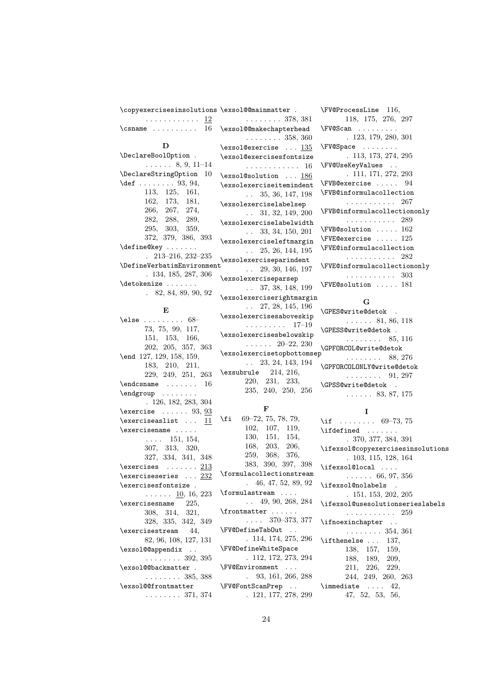| \copyexercisesinsolutions \exsol@@mainmatter . |                                    |  |
|------------------------------------------------|------------------------------------|--|
| . <u>12</u>                                    | $\ldots \ldots 378, 381$           |  |
| $\cosh$ 16 \exsol@@makechapterhead             |                                    |  |
|                                                | . 358, 360                         |  |
| D                                              | $\text{lexsol@exercise} \dots 135$ |  |
| \DeclareBoolOption .                           | \exsol@exercisesfontsiz            |  |
| $\ldots$ $\ldots$ 8, 9, 11–14                  | . 16                               |  |
| \DeclareStringOption 10                        | \exsol@solution  186               |  |
| $\det$ 93, 94,                                 | \exsolexerciseiteminden            |  |
| 113, 125, 161,                                 | $\ldots$ 35, 36, 147, 198          |  |
| 162, 173, 181,                                 | \exsolexerciselabelsep             |  |
| 266, 267, 274,                                 | $\ldots$ 31, 32, 149, 200          |  |
| 282, 288, 289,                                 | \exsolexerciselabelwidt            |  |
| 295, 303, 359,                                 | $\ldots$ 33, 34, 150, 201          |  |
| 372, 379, 386, 393                             | \exsolexerciseleftmargi            |  |
| \define@key                                    | $\ldots$ 25, 26, 144, 195          |  |
| $. \ \ 213 - 216, \ 232 - 235$                 | \exsolexerciseparindent            |  |
| \DefineVerbatimEnvironment                     | $\ldots$ 29, 30, 146, 197          |  |
| .134, 185, 287, 306                            | \exsolexerciseparsep               |  |
| \detokenize                                    | $\ldots$ 37, 38, 148, 199          |  |
| $. \t82, 84, 89, 90, 92$                       | \exsolexerciserightmarg            |  |
|                                                |                                    |  |

### E

| $\text{else} \dots \dots \dots \ 68-$                                       |
|-----------------------------------------------------------------------------|
| 73, 75, 99, 117,                                                            |
| 151, 153, 166,                                                              |
| 202, 205, 357, 363                                                          |
| \end 127, 129, 158, 159,                                                    |
| 183, 210, 211,                                                              |
| 229, 249, 251, 263                                                          |
| $\verb+\endcsname+\ldots+\ldots$<br>16                                      |
| \endgroup                                                                   |
| . 126, 182, 283, 304                                                        |
| $\text{exercises} \dots 93, \underline{93}$                                 |
| $\text{exerciseslist} \dots \underline{11}$                                 |
| $\text{exercises} \dots$                                                    |
| $\ldots$ 151, 154,                                                          |
| 307, 313, 320,                                                              |
| 327, 334, 341, 348                                                          |
| $\texttt{\textbackslash} \texttt{exercises} \dots \dots \underline{213}$    |
| $\text{exercises} \dots \underline{232}$                                    |
| \exercisesfontsize .                                                        |
|                                                                             |
| $\ldots$ $\ldots$ $\underline{10}$ , 16, 223<br>$\text{exercisesname}$ 225, |
|                                                                             |
| $308, \ 314, \ 321, \nonumber$                                              |
| 328, 335, 342, 349                                                          |
| $\text{exercises}$ 44,                                                      |
| 82, 96, 108, 127, 131                                                       |
| \exsol@@appendix                                                            |
| $\ldots \ldots 392, 395$                                                    |
| \exsol@@backmatter.                                                         |
| $\ldots \ldots 385, 388$                                                    |
| \exsol@@frontmatter                                                         |
| $\ldots \ldots 371, 374$                                                    |
|                                                                             |

 $:$ fontsize  $\ldots$  . 16  $\ldots$  186 emindent 147, 198  $\mathbf{belsep}$ 149, 200  $\Delta$ belwidth 150, 201 ftmargin 144, 195 **Tindent** 146, 197  $\mathop{\mathtt{irsep}}$ 148, 199 **ightmargin** . . 27, 28, 145, 196 \exsolexercisesaboveskip . . . . . . . . . 17–19 \exsolexercisesbelowskip . . . . . . 20–22, 230 \exsolexercisetopbottomsep . . 23, 24, 143, 194 \exsubrule 214, 216, 220, 231, 233, 235, 240, 250, 256

378, 381

358, 360  $\ldots$  135

#### F

\fi 69–72, 75, 78, 79, 102, 107, 119, 130, 151, 154, 168, 203, 206, 259, 368, 376, 383, 390, 397, 398 \formulacollectionstream . 46, 47, 52, 89, 92 \formulastream . . . . . . 49, 90, 268, 284 \frontmatter . . . . . .  $\ldots$  370–373, 377 \FV@DefineTabOut . . . 114, 174, 275, 296 \FV@DefineWhiteSpace . 112, 172, 273, 294 \FV@Environment . . . . 93, 161, 266, 288 \FV@FontScanPrep . . . 121, 177, 278, 299

\FV@ProcessLine 116, 118, 175, 276, 297 \FV@Scan . . . . . . . . . . 123, 179, 280, 301 \FV@Space . . . . . . . . . 113, 173, 274, 295 \FV@UseKeyValues . . . 111, 171, 272, 293 \FVB@exercise . . . . . 94 \FVB@informulacollection . . . . . . . . . . . 267 \FVB@informulacollectiononly . . . . . . . . . . . 289 \FVB@solution . . . . . 162 \FVE@exercise . . . . . 125 \FVE@informulacollection . . . . . . . . . . . 282 \FVE@informulacollectiononly . . . . . . . . . . . 303 \FVE@solution . . . . . 181

# G

\GPES@write@detok .  $\ldots$  . . 81, 86, 118 \GPESS@write@detok . . . . . . . . . 85, 116 \GPFORCOL@write@detok . . . . . . . . 88, 276 \GPFORCOLONLY@write@detok  $\ldots \ldots \ldots 91, 297$ \GPSS@write@detok . . . . . . . 83, 87, 175

#### I

\if . . . . . . . . 69-73, 75 \ifdefined . . . . . . . . 370, 377, 384, 391 \ifexsol@copyexercisesinsolutions . 103, 115, 128, 164 \ifexsol@local .... . . . . . . 66, 97, 356 \ifexsol@nolabels . 151, 153, 202, 205 \ifexsol@usesolutionserieslabels . . . . . . . . . . . 259 \ifnoexinchapter .. . . . . . . . . 354, 361 \ifthenelse ... 137, 138, 157, 159, 188, 189, 209, 211, 226, 229, 244, 249, 260, 263  $\{immediate \ldots 42\}$ 47, 52, 53, 56,